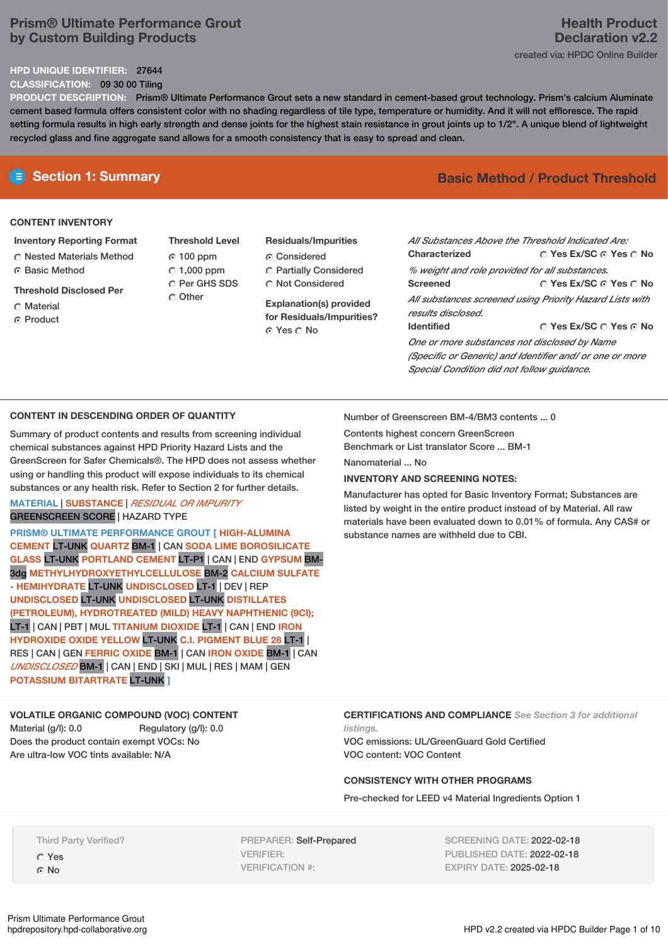# **Prism® Ultimate Performance Grout by Custom Building Products**

#### **HPD UNIQUE IDENTIFIER:** 27644

**CLASSIFICATION:** 09 30 00 Tiling

**PRODUCT DESCRIPTION:** Prism® Ultimate Performance Grout sets a new standard in cement-based grout technology. Prism's calcium Aluminate cement based formula offers consistent color with no shading regardless of tile type, temperature or humidity. And it will not effloresce. The rapid setting formula results in high early strength and dense joints for the highest stain resistance in grout joints up to 1/2". A unique blend of lightweight

#### **CONTENT INVENTORY**

- **Inventory Reporting Format** Nested Materials Method
- **6 Basic Method**
- **Threshold Disclosed Per**
- C Material
- ⊙ Product

**Threshold Level** 100 ppm  $\degree$  1,000 ppm C Per GHS SDS Other

recycled glass and fine aggregate sand allows for a smooth consistency that is easy to spread and clean.

# **Residuals/Impurities**

Considered Partially Considered  $\bigcirc$  Not Considered

**Explanation(s) provided for Residuals/Impurities?** ⊙ Yes O No

# **E** Section 1: Summary **Basic Method / Product** Threshold

**Yes Ex/SC Yes No Yes Ex/SC Yes No Yes Ex/SC Yes No** *All Substances Above the Threshold Indicated Are:* **Characterized** *% weight and role provided for all substances.* **Screened** *All substances screened using Priority Hazard Lists with results disclosed.* **Identified** *One or more substances not disclosed by Name (Specific or Generic) and Identifier and/ or one or more Special Condition did not follow guidance.*

## **CONTENT IN DESCENDING ORDER OF QUANTITY**

Summary of product contents and results from screening individual chemical substances against HPD Priority Hazard Lists and the GreenScreen for Safer Chemicals®. The HPD does not assess whether using or handling this product will expose individuals to its chemical substances or any health risk. Refer to Section 2 for further details.

#### **MATERIAL** | **SUBSTANCE** | *RESIDUAL OR IMPURITY* GREENSCREEN SCORE | HAZARD TYPE

**PRISM® ULTIMATE PERFORMANCE GROUT [ HIGH-ALUMINA CEMENT** LT-UNK **QUARTZ** BM-1 | CAN **SODA LIME BOROSILICATE GLASS** LT-UNK **PORTLAND CEMENT** LT-P1 | CAN | END **GYPSUM** BM-3dg **METHYLHYDROXYETHYLCELLULOSE** BM-2 **CALCIUM SULFATE - HEMIHYDRATE** LT-UNK **UNDISCLOSED** LT-1 | DEV | REP **UNDISCLOSED** LT-UNK **UNDISCLOSED** LT-UNK **DISTILLATES (PETROLEUM), HYDROTREATED (MILD) HEAVY NAPHTHENIC (9CI);** LT-1 | CAN | PBT | MUL **TITANIUM DIOXIDE** LT-1 | CAN | END **IRON HYDROXIDE OXIDE YELLOW** LT-UNK **C.I. PIGMENT BLUE 28** LT-1 | RES | CAN | GEN **FERRIC OXIDE** BM-1 | CAN **IRON OXIDE** BM-1 | CAN *UNDISCLOSED* BM-1 | CAN | END | SKI | MUL | RES | MAM | GEN **POTASSIUM BITARTRATE** LT-UNK **]**

# **VOLATILE ORGANIC COMPOUND (VOC) CONTENT**

Material (g/l): 0.0 Regulatory (g/l): 0.0 Does the product contain exempt VOCs: No Are ultra-low VOC tints available: N/A

Number of Greenscreen BM-4/BM3 contents ... 0

Contents highest concern GreenScreen

Benchmark or List translator Score ... BM-1

Nanomaterial ... No

## **INVENTORY AND SCREENING NOTES:**

Manufacturer has opted for Basic Inventory Format; Substances are listed by weight in the entire product instead of by Material. All raw materials have been evaluated down to 0.01% of formula. Any CAS# or substance names are withheld due to CBI.

**CERTIFICATIONS AND COMPLIANCE** *See Section 3 for additional listings.*

VOC emissions: UL/GreenGuard Gold Certified VOC content: VOC Content

## **CONSISTENCY WITH OTHER PROGRAMS**

Pre-checked for LEED v4 Material Ingredients Option 1

Third Party Verified?

Yes G<sub>No</sub>

PREPARER: Self-Prepared VERIFIER: VERIFICATION #:

SCREENING DATE: 2022-02-18 PUBLISHED DATE: 2022-02-18 EXPIRY DATE: 2025-02-18

# **Health Product Declaration v2.2** created via: HPDC Online Builder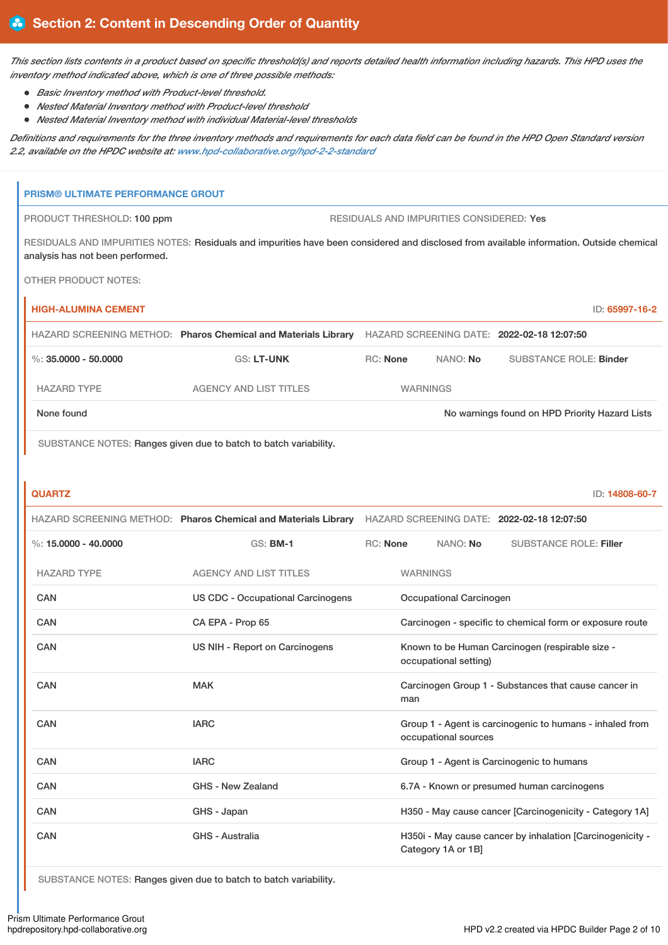This section lists contents in a product based on specific threshold(s) and reports detailed health information including hazards. This HPD uses the *inventory method indicated above, which is one of three possible methods:*

- *Basic Inventory method with Product-level threshold.*
- *Nested Material Inventory method with Product-level threshold*
- *Nested Material Inventory method with individual Material-level thresholds*

Definitions and requirements for the three inventory methods and requirements for each data field can be found in the HPD Open Standard version *2.2, available on the HPDC website at: [www.hpd-collaborative.org/hpd-2-2-standard](https://www.hpd-collaborative.org/hpd-2-2-standard)*

| <b>PRISM® ULTIMATE PERFORMANCE GROUT</b> |                                                                                                                                          |                 |                                          |                                                           |
|------------------------------------------|------------------------------------------------------------------------------------------------------------------------------------------|-----------------|------------------------------------------|-----------------------------------------------------------|
| PRODUCT THRESHOLD: 100 ppm               |                                                                                                                                          |                 | RESIDUALS AND IMPURITIES CONSIDERED: Yes |                                                           |
| analysis has not been performed.         | RESIDUALS AND IMPURITIES NOTES: Residuals and impurities have been considered and disclosed from available information. Outside chemical |                 |                                          |                                                           |
| <b>OTHER PRODUCT NOTES:</b>              |                                                                                                                                          |                 |                                          |                                                           |
| <b>HIGH-ALUMINA CEMENT</b>               |                                                                                                                                          |                 |                                          | ID: 65997-16-2                                            |
|                                          | HAZARD SCREENING METHOD: Pharos Chemical and Materials Library HAZARD SCREENING DATE: 2022-02-18 12:07:50                                |                 |                                          |                                                           |
| $\%$ : 35.0000 - 50.0000                 | GS: LT-UNK                                                                                                                               | <b>RC: None</b> | NANO: No                                 | <b>SUBSTANCE ROLE: Binder</b>                             |
| <b>HAZARD TYPE</b>                       | <b>AGENCY AND LIST TITLES</b>                                                                                                            |                 | <b>WARNINGS</b>                          |                                                           |
| None found                               |                                                                                                                                          |                 |                                          | No warnings found on HPD Priority Hazard Lists            |
|                                          | SUBSTANCE NOTES: Ranges given due to batch to batch variability.                                                                         |                 |                                          |                                                           |
|                                          |                                                                                                                                          |                 |                                          |                                                           |
| <b>QUARTZ</b>                            |                                                                                                                                          |                 |                                          | ID: 14808-60-7                                            |
|                                          | HAZARD SCREENING METHOD: Pharos Chemical and Materials Library HAZARD SCREENING DATE: 2022-02-18 12:07:50                                |                 |                                          |                                                           |
| %: $15,0000 - 40,0000$                   | $GS:$ BM-1                                                                                                                               | <b>RC: None</b> | NANO: No                                 | <b>SUBSTANCE ROLE: Filler</b>                             |
| <b>HAZARD TYPE</b>                       | <b>AGENCY AND LIST TITLES</b>                                                                                                            |                 | <b>WARNINGS</b>                          |                                                           |
| <b>CAN</b>                               | <b>US CDC - Occupational Carcinogens</b>                                                                                                 |                 | Occupational Carcinogen                  |                                                           |
| <b>CAN</b>                               | CA EPA - Prop 65                                                                                                                         |                 |                                          | Carcinogen - specific to chemical form or exposure route  |
| <b>CAN</b>                               | US NIH - Report on Carcinogens                                                                                                           |                 | occupational setting)                    | Known to be Human Carcinogen (respirable size -           |
| CAN                                      | MAK                                                                                                                                      |                 | man                                      | Carcinogen Group 1 - Substances that cause cancer in      |
| CAN                                      | <b>IARC</b>                                                                                                                              |                 | occupational sources                     | Group 1 - Agent is carcinogenic to humans - inhaled from  |
| CAN                                      | <b>IARC</b>                                                                                                                              |                 |                                          | Group 1 - Agent is Carcinogenic to humans                 |
| CAN                                      | GHS - New Zealand                                                                                                                        |                 |                                          | 6.7A - Known or presumed human carcinogens                |
| CAN                                      | GHS - Japan                                                                                                                              |                 |                                          | H350 - May cause cancer [Carcinogenicity - Category 1A]   |
| CAN                                      | GHS - Australia                                                                                                                          |                 | Category 1A or 1B]                       | H350i - May cause cancer by inhalation [Carcinogenicity - |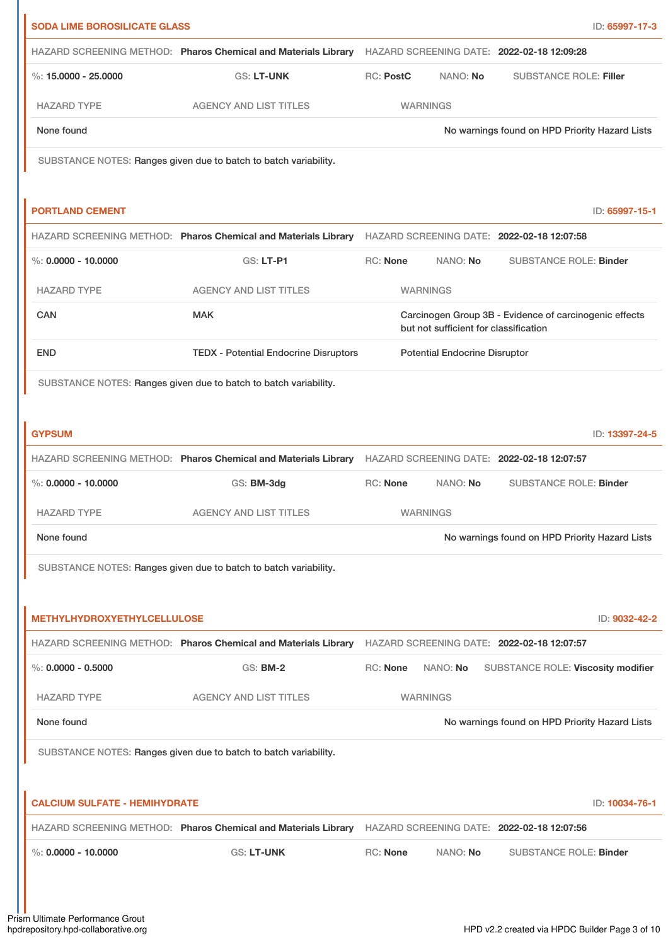| <b>SODA LIME BOROSILICATE GLASS</b>  |                                                                                                           |                  |                                       | ID: 65997-17-3                                         |
|--------------------------------------|-----------------------------------------------------------------------------------------------------------|------------------|---------------------------------------|--------------------------------------------------------|
|                                      | HAZARD SCREENING METHOD: Pharos Chemical and Materials Library                                            |                  |                                       | HAZARD SCREENING DATE: 2022-02-18 12:09:28             |
| %: $15,0000 - 25,0000$               | <b>GS: LT-UNK</b>                                                                                         | <b>RC: PostC</b> | NANO: No                              | <b>SUBSTANCE ROLE: Filler</b>                          |
| <b>HAZARD TYPE</b>                   | <b>AGENCY AND LIST TITLES</b>                                                                             | <b>WARNINGS</b>  |                                       |                                                        |
| None found                           |                                                                                                           |                  |                                       | No warnings found on HPD Priority Hazard Lists         |
|                                      | SUBSTANCE NOTES: Ranges given due to batch to batch variability.                                          |                  |                                       |                                                        |
|                                      |                                                                                                           |                  |                                       |                                                        |
| <b>PORTLAND CEMENT</b>               |                                                                                                           |                  |                                       | ID: 65997-15-1                                         |
|                                      | HAZARD SCREENING METHOD: Pharos Chemical and Materials Library HAZARD SCREENING DATE: 2022-02-18 12:07:58 |                  |                                       |                                                        |
| %: $0.0000 - 10.0000$                | GS: LT-P1                                                                                                 | <b>RC: None</b>  | NANO: No                              | <b>SUBSTANCE ROLE: Binder</b>                          |
| <b>HAZARD TYPE</b>                   | <b>AGENCY AND LIST TITLES</b>                                                                             | <b>WARNINGS</b>  |                                       |                                                        |
| CAN                                  | <b>MAK</b>                                                                                                |                  | but not sufficient for classification | Carcinogen Group 3B - Evidence of carcinogenic effects |
| <b>END</b>                           | <b>TEDX - Potential Endocrine Disruptors</b>                                                              |                  | <b>Potential Endocrine Disruptor</b>  |                                                        |
|                                      | SUBSTANCE NOTES: Ranges given due to batch to batch variability.                                          |                  |                                       |                                                        |
|                                      |                                                                                                           |                  |                                       |                                                        |
| <b>GYPSUM</b>                        |                                                                                                           |                  |                                       | ID: 13397-24-5                                         |
|                                      | HAZARD SCREENING METHOD: Pharos Chemical and Materials Library HAZARD SCREENING DATE: 2022-02-18 12:07:57 |                  |                                       |                                                        |
| %: $0.0000 - 10.0000$                | GS: BM-3dg                                                                                                | RC: None         | NANO: No                              | <b>SUBSTANCE ROLE: Binder</b>                          |
| <b>HAZARD TYPE</b>                   | <b>AGENCY AND LIST TITLES</b>                                                                             | WARNINGS         |                                       |                                                        |
| None found                           |                                                                                                           |                  |                                       | No warnings found on HPD Priority Hazard Lists         |
|                                      | SUBSTANCE NOTES: Ranges given due to batch to batch variability.                                          |                  |                                       |                                                        |
|                                      |                                                                                                           |                  |                                       |                                                        |
| <b>METHYLHYDROXYETHYLCELLULOSE</b>   |                                                                                                           |                  |                                       | ID: 9032-42-2                                          |
|                                      | HAZARD SCREENING METHOD: Pharos Chemical and Materials Library HAZARD SCREENING DATE: 2022-02-18 12:07:57 |                  |                                       |                                                        |
| $\%$ : 0.0000 - 0.5000               | <b>GS: BM-2</b>                                                                                           | <b>RC: None</b>  | NANO: No                              | SUBSTANCE ROLE: Viscosity modifier                     |
| <b>HAZARD TYPE</b>                   | <b>AGENCY AND LIST TITLES</b>                                                                             | <b>WARNINGS</b>  |                                       |                                                        |
| None found                           |                                                                                                           |                  |                                       | No warnings found on HPD Priority Hazard Lists         |
|                                      | SUBSTANCE NOTES: Ranges given due to batch to batch variability.                                          |                  |                                       |                                                        |
|                                      |                                                                                                           |                  |                                       |                                                        |
| <b>CALCIUM SULFATE - HEMIHYDRATE</b> |                                                                                                           |                  |                                       | ID: 10034-76-1                                         |
|                                      | HAZARD SCREENING METHOD: Pharos Chemical and Materials Library                                            |                  |                                       | HAZARD SCREENING DATE: 2022-02-18 12:07:56             |
| %: $0.0000 - 10.0000$                | <b>GS: LT-UNK</b>                                                                                         | <b>RC: None</b>  | NANO: No                              | <b>SUBSTANCE ROLE: Binder</b>                          |
|                                      |                                                                                                           |                  |                                       |                                                        |
|                                      |                                                                                                           |                  |                                       |                                                        |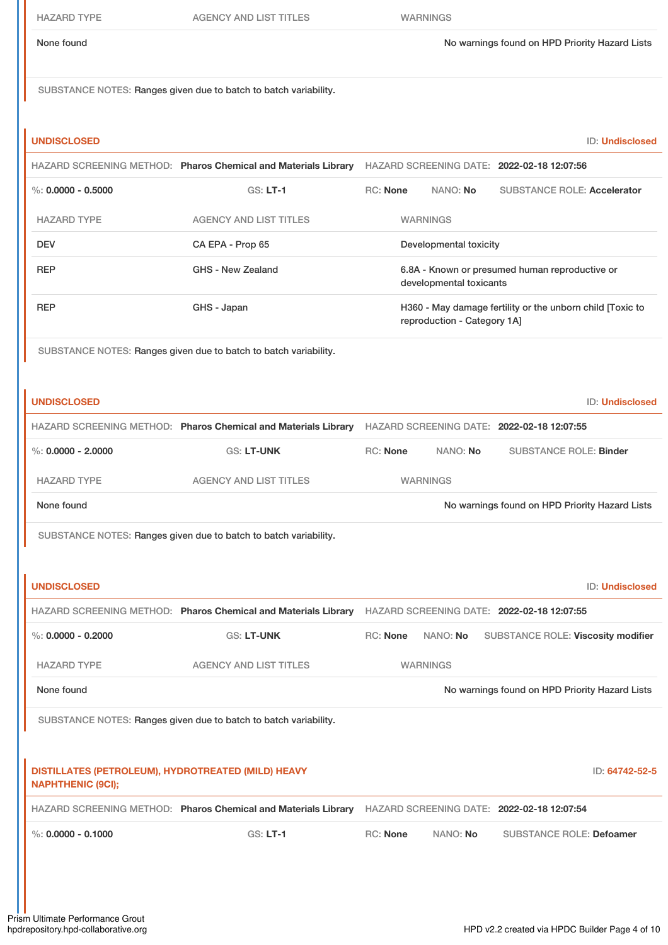| <b>HAZARD TYPE</b>                                                             | <b>AGENCY AND LIST TITLES</b>                                    | <b>WARNINGS</b>                                                                                           |
|--------------------------------------------------------------------------------|------------------------------------------------------------------|-----------------------------------------------------------------------------------------------------------|
| None found                                                                     |                                                                  | No warnings found on HPD Priority Hazard Lists                                                            |
|                                                                                | SUBSTANCE NOTES: Ranges given due to batch to batch variability. |                                                                                                           |
| <b>UNDISCLOSED</b>                                                             |                                                                  | <b>ID: Undisclosed</b>                                                                                    |
|                                                                                |                                                                  | HAZARD SCREENING METHOD: Pharos Chemical and Materials Library HAZARD SCREENING DATE: 2022-02-18 12:07:56 |
| $\%$ : 0.0000 - 0.5000                                                         | <b>GS: LT-1</b>                                                  | <b>RC: None</b><br>NANO: No<br><b>SUBSTANCE ROLE: Accelerator</b>                                         |
| <b>HAZARD TYPE</b>                                                             | <b>AGENCY AND LIST TITLES</b>                                    | <b>WARNINGS</b>                                                                                           |
| <b>DEV</b>                                                                     | CA EPA - Prop 65                                                 | Developmental toxicity                                                                                    |
| <b>REP</b>                                                                     | <b>GHS - New Zealand</b>                                         | 6.8A - Known or presumed human reproductive or<br>developmental toxicants                                 |
| <b>REP</b>                                                                     | GHS - Japan                                                      | H360 - May damage fertility or the unborn child [Toxic to<br>reproduction - Category 1A]                  |
|                                                                                | SUBSTANCE NOTES: Ranges given due to batch to batch variability. |                                                                                                           |
| <b>UNDISCLOSED</b>                                                             |                                                                  | ID: Undisclosed                                                                                           |
|                                                                                |                                                                  | HAZARD SCREENING METHOD: Pharos Chemical and Materials Library HAZARD SCREENING DATE: 2022-02-18 12:07:55 |
| $\%$ : 0.0000 - 2.0000                                                         | <b>GS: LT-UNK</b>                                                | <b>RC: None</b><br>NANO: No<br><b>SUBSTANCE ROLE: Binder</b>                                              |
| <b>HAZARD TYPE</b>                                                             | <b>AGENCY AND LIST TITLES</b>                                    | <b>WARNINGS</b>                                                                                           |
| None found                                                                     |                                                                  | No warnings found on HPD Priority Hazard Lists                                                            |
|                                                                                |                                                                  |                                                                                                           |
|                                                                                | SUBSTANCE NOTES: Ranges given due to batch to batch variability. |                                                                                                           |
|                                                                                |                                                                  |                                                                                                           |
| <b>UNDISCLOSED</b>                                                             |                                                                  | ID: Undisclosed                                                                                           |
|                                                                                |                                                                  | HAZARD SCREENING METHOD: Pharos Chemical and Materials Library HAZARD SCREENING DATE: 2022-02-18 12:07:55 |
| %: $0.0000 - 0.2000$                                                           | <b>GS: LT-UNK</b>                                                | <b>RC: None</b><br>NANO: No<br>SUBSTANCE ROLE: Viscosity modifier                                         |
| <b>HAZARD TYPE</b>                                                             | <b>AGENCY AND LIST TITLES</b>                                    | <b>WARNINGS</b>                                                                                           |
| None found                                                                     |                                                                  | No warnings found on HPD Priority Hazard Lists                                                            |
|                                                                                | SUBSTANCE NOTES: Ranges given due to batch to batch variability. |                                                                                                           |
| DISTILLATES (PETROLEUM), HYDROTREATED (MILD) HEAVY<br><b>NAPHTHENIC (9CI);</b> |                                                                  | ID: 64742-52-5                                                                                            |
|                                                                                |                                                                  | HAZARD SCREENING METHOD: Pharos Chemical and Materials Library HAZARD SCREENING DATE: 2022-02-18 12:07:54 |
| $\%$ : 0.0000 - 0.1000                                                         | <b>GS: LT-1</b>                                                  | <b>RC: None</b><br>NANO: No<br><b>SUBSTANCE ROLE: Defoamer</b>                                            |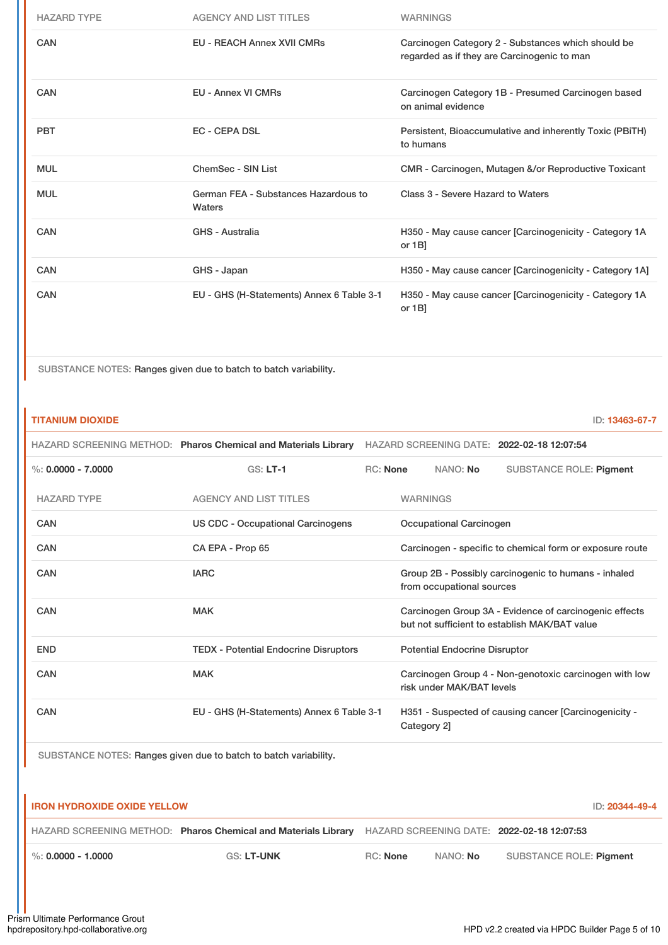| <b>HAZARD TYPE</b> | <b>AGENCY AND LIST TITLES</b>                  | <b>WARNINGS</b>                                                                                   |
|--------------------|------------------------------------------------|---------------------------------------------------------------------------------------------------|
| CAN                | <b>EU - REACH Annex XVII CMRs</b>              | Carcinogen Category 2 - Substances which should be<br>regarded as if they are Carcinogenic to man |
| CAN                | <b>EU - Annex VI CMRs</b>                      | Carcinogen Category 1B - Presumed Carcinogen based<br>on animal evidence                          |
| <b>PBT</b>         | <b>EC - CEPA DSL</b>                           | Persistent, Bioaccumulative and inherently Toxic (PBITH)<br>to humans                             |
| <b>MUL</b>         | ChemSec - SIN List                             | CMR - Carcinogen, Mutagen &/or Reproductive Toxicant                                              |
| <b>MUL</b>         | German FEA - Substances Hazardous to<br>Waters | Class 3 - Severe Hazard to Waters                                                                 |
| <b>CAN</b>         | <b>GHS - Australia</b>                         | H350 - May cause cancer [Carcinogenicity - Category 1A<br>or $1B$                                 |
| <b>CAN</b>         | GHS - Japan                                    | H350 - May cause cancer [Carcinogenicity - Category 1A]                                           |
| <b>CAN</b>         | EU - GHS (H-Statements) Annex 6 Table 3-1      | H350 - May cause cancer [Carcinogenicity - Category 1A<br>or $1B$                                 |

SUBSTANCE NOTES: Ranges given due to batch to batch variability.

| <b>TITANIUM DIOXIDE</b> |                                                                |                                                                                                         |                 |                                      | ID: 13463-67-7                                           |
|-------------------------|----------------------------------------------------------------|---------------------------------------------------------------------------------------------------------|-----------------|--------------------------------------|----------------------------------------------------------|
|                         | HAZARD SCREENING METHOD: Pharos Chemical and Materials Library |                                                                                                         |                 |                                      | HAZARD SCREENING DATE: 2022-02-18 12:07:54               |
| %: $0.0000 - 7.0000$    | $GS: LT-1$                                                     | RC: None                                                                                                |                 | NANO: No                             | <b>SUBSTANCE ROLE: Pigment</b>                           |
| <b>HAZARD TYPE</b>      | <b>AGENCY AND LIST TITLES</b>                                  |                                                                                                         | <b>WARNINGS</b> |                                      |                                                          |
| CAN                     | US CDC - Occupational Carcinogens                              |                                                                                                         |                 | Occupational Carcinogen              |                                                          |
| CAN                     | CA EPA - Prop 65                                               |                                                                                                         |                 |                                      | Carcinogen - specific to chemical form or exposure route |
| <b>CAN</b>              | <b>IARC</b>                                                    |                                                                                                         |                 | from occupational sources            | Group 2B - Possibly carcinogenic to humans - inhaled     |
| CAN                     | <b>MAK</b>                                                     | Carcinogen Group 3A - Evidence of carcinogenic effects<br>but not sufficient to establish MAK/BAT value |                 |                                      |                                                          |
| <b>END</b>              | <b>TEDX</b> - Potential Endocrine Disruptors                   |                                                                                                         |                 | <b>Potential Endocrine Disruptor</b> |                                                          |
| CAN                     | <b>MAK</b>                                                     |                                                                                                         |                 | risk under MAK/BAT levels            | Carcinogen Group 4 - Non-genotoxic carcinogen with low   |
| <b>CAN</b>              | EU - GHS (H-Statements) Annex 6 Table 3-1                      |                                                                                                         | Category 2]     |                                      | H351 - Suspected of causing cancer [Carcinogenicity -    |

| <b>I IRON HYDROXIDE OXIDE YELLOW</b> |                                                                                                           |          |          | ID: <b>20344-49-4</b>   |
|--------------------------------------|-----------------------------------------------------------------------------------------------------------|----------|----------|-------------------------|
|                                      | HAZARD SCREENING METHOD: Pharos Chemical and Materials Library HAZARD SCREENING DATE: 2022-02-18 12:07:53 |          |          |                         |
| $\blacksquare$ %: 0.0000 - 1.0000    | GS: LT-UNK                                                                                                | RC: None | NANO: No | SUBSTANCE ROLE: Pigment |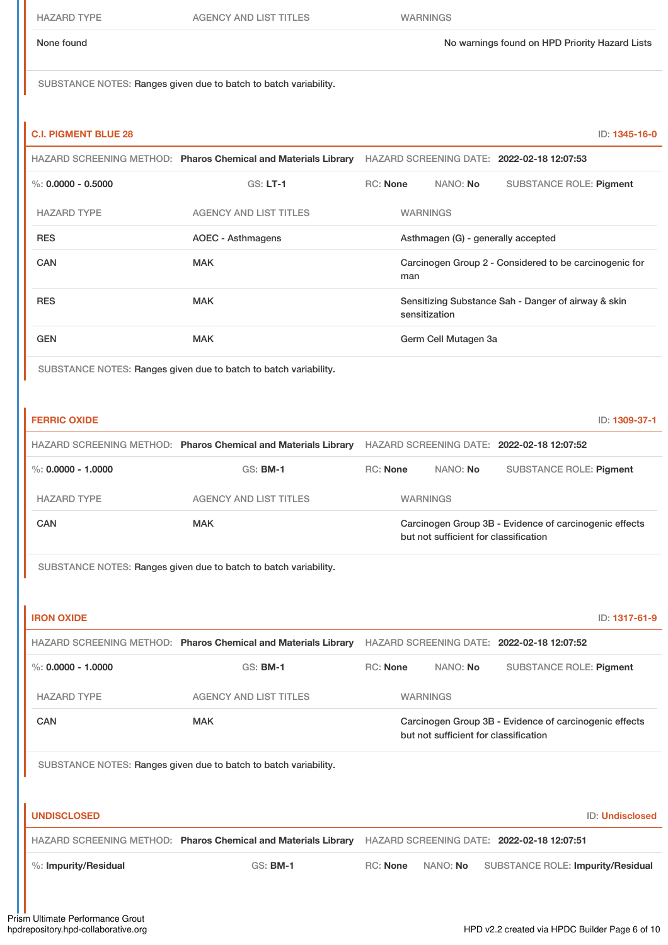HAZARD TYPE AGENCY AND LIST TITLES WARNINGS

SUBSTANCE NOTES: Ranges given due to batch to batch variability.

| <b>C.I. PIGMENT BLUE 28</b> |                                                                |                 |                 |                      |                                                        | ID: 1345-16-0 |
|-----------------------------|----------------------------------------------------------------|-----------------|-----------------|----------------------|--------------------------------------------------------|---------------|
|                             | HAZARD SCREENING METHOD: Pharos Chemical and Materials Library |                 |                 |                      | HAZARD SCREENING DATE: 2022-02-18 12:07:53             |               |
| %: $0.0000 - 0.5000$        | $GS: LT-1$                                                     | <b>RC: None</b> |                 | NANO: No             | <b>SUBSTANCE ROLE: Pigment</b>                         |               |
| <b>HAZARD TYPE</b>          | <b>AGENCY AND LIST TITLES</b>                                  |                 | <b>WARNINGS</b> |                      |                                                        |               |
| <b>RES</b>                  | AOEC - Asthmagens                                              |                 |                 |                      | Asthmagen (G) - generally accepted                     |               |
| <b>CAN</b>                  | <b>MAK</b>                                                     |                 | man             |                      | Carcinogen Group 2 - Considered to be carcinogenic for |               |
| <b>RES</b>                  | <b>MAK</b>                                                     |                 | sensitization   |                      | Sensitizing Substance Sah - Danger of airway & skin    |               |
| <b>GEN</b>                  | <b>MAK</b>                                                     |                 |                 | Germ Cell Mutagen 3a |                                                        |               |

| <b>FERRIC OXIDE</b>                                              |                                                                  |          |                                       |                                                        | ID: 1309-37-1 |
|------------------------------------------------------------------|------------------------------------------------------------------|----------|---------------------------------------|--------------------------------------------------------|---------------|
|                                                                  | HAZARD SCREENING METHOD: Pharos Chemical and Materials Library   |          |                                       | HAZARD SCREENING DATE: 2022-02-18 12:07:52             |               |
| $\%$ : 0.0000 - 1.0000                                           | $GS:$ BM-1                                                       | RC: None | NANO: No                              | <b>SUBSTANCE ROLE: Pigment</b>                         |               |
| <b>HAZARD TYPE</b>                                               | <b>AGENCY AND LIST TITLES</b>                                    |          | <b>WARNINGS</b>                       |                                                        |               |
| CAN                                                              | <b>MAK</b>                                                       |          | but not sufficient for classification | Carcinogen Group 3B - Evidence of carcinogenic effects |               |
|                                                                  | SUBSTANCE NOTES: Ranges given due to batch to batch variability. |          |                                       |                                                        |               |
|                                                                  |                                                                  |          |                                       |                                                        |               |
| <b>IRON OXIDE</b>                                                |                                                                  |          |                                       |                                                        | ID: 1317-61-9 |
|                                                                  | HAZARD SCREENING METHOD: Pharos Chemical and Materials Library   |          |                                       | HAZARD SCREENING DATE: 2022-02-18 12:07:52             |               |
| $\%$ : 0.0000 - 1.0000                                           | <b>GS: BM-1</b>                                                  | RC: None | NANO: No                              | <b>SUBSTANCE ROLE: Pigment</b>                         |               |
| <b>HAZARD TYPE</b>                                               | <b>AGENCY AND LIST TITLES</b>                                    |          | <b>WARNINGS</b>                       |                                                        |               |
| CAN                                                              | <b>MAK</b>                                                       |          | but not sufficient for classification | Carcinogen Group 3B - Evidence of carcinogenic effects |               |
| SUBSTANCE NOTES: Ranges given due to batch to batch variability. |                                                                  |          |                                       |                                                        |               |

| <b>UNDISCLOSED</b>       |                                                                |          | <b>ID: Undisclosed</b>                     |
|--------------------------|----------------------------------------------------------------|----------|--------------------------------------------|
|                          | HAZARD SCREENING METHOD: Pharos Chemical and Materials Library |          | HAZARD SCREENING DATE: 2022-02-18 12:07:51 |
| $\%$ : Impurity/Residual | <b>GS: BM-1</b>                                                | RC: None | NANO: No SUBSTANCE ROLE: Impurity/Residual |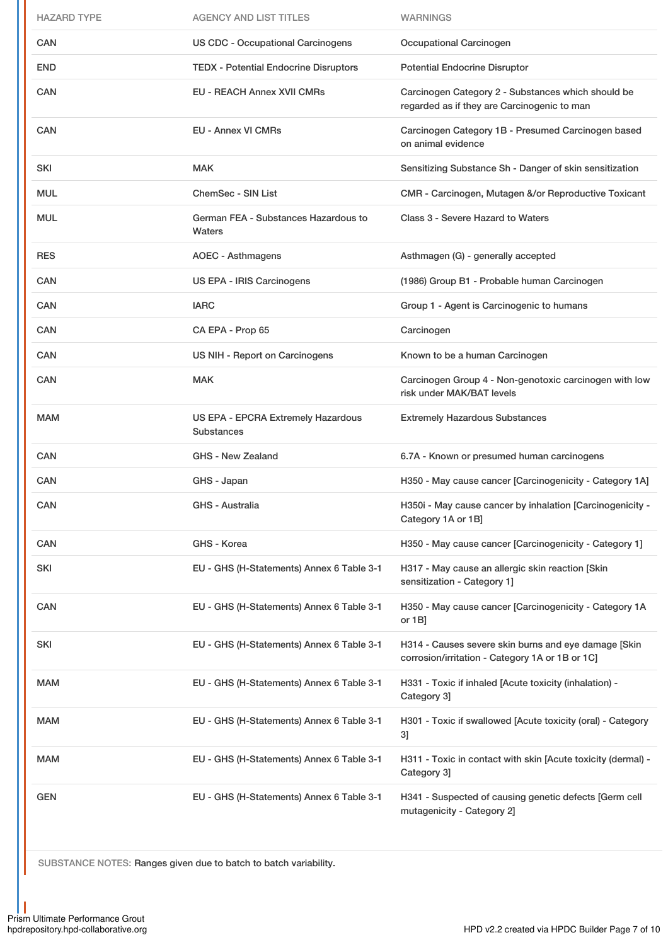| <b>HAZARD TYPE</b> | <b>AGENCY AND LIST TITLES</b>                                  | <b>WARNINGS</b>                                                                                         |
|--------------------|----------------------------------------------------------------|---------------------------------------------------------------------------------------------------------|
| CAN                | <b>US CDC - Occupational Carcinogens</b>                       | Occupational Carcinogen                                                                                 |
| <b>END</b>         | <b>TEDX - Potential Endocrine Disruptors</b>                   | <b>Potential Endocrine Disruptor</b>                                                                    |
| CAN                | <b>EU - REACH Annex XVII CMRs</b>                              | Carcinogen Category 2 - Substances which should be<br>regarded as if they are Carcinogenic to man       |
| CAN                | <b>EU - Annex VI CMRs</b>                                      | Carcinogen Category 1B - Presumed Carcinogen based<br>on animal evidence                                |
| SKI                | <b>MAK</b>                                                     | Sensitizing Substance Sh - Danger of skin sensitization                                                 |
| <b>MUL</b>         | <b>ChemSec - SIN List</b>                                      | CMR - Carcinogen, Mutagen &/or Reproductive Toxicant                                                    |
| <b>MUL</b>         | German FEA - Substances Hazardous to<br>Waters                 | Class 3 - Severe Hazard to Waters                                                                       |
| <b>RES</b>         | <b>AOEC - Asthmagens</b>                                       | Asthmagen (G) - generally accepted                                                                      |
| CAN                | US EPA - IRIS Carcinogens                                      | (1986) Group B1 - Probable human Carcinogen                                                             |
| <b>CAN</b>         | <b>IARC</b>                                                    | Group 1 - Agent is Carcinogenic to humans                                                               |
| CAN                | CA EPA - Prop 65                                               | Carcinogen                                                                                              |
| CAN                | US NIH - Report on Carcinogens                                 | Known to be a human Carcinogen                                                                          |
| CAN                | <b>MAK</b>                                                     | Carcinogen Group 4 - Non-genotoxic carcinogen with low<br>risk under MAK/BAT levels                     |
| <b>MAM</b>         | <b>US EPA - EPCRA Extremely Hazardous</b><br><b>Substances</b> | <b>Extremely Hazardous Substances</b>                                                                   |
| CAN                | <b>GHS - New Zealand</b>                                       | 6.7A - Known or presumed human carcinogens                                                              |
| CAN                | GHS - Japan                                                    | H350 - May cause cancer [Carcinogenicity - Category 1A]                                                 |
| CAN                | GHS - Australia                                                | H350i - May cause cancer by inhalation [Carcinogenicity -<br>Category 1A or 1B]                         |
| CAN                | GHS - Korea                                                    | H350 - May cause cancer [Carcinogenicity - Category 1]                                                  |
| SKI                | EU - GHS (H-Statements) Annex 6 Table 3-1                      | H317 - May cause an allergic skin reaction [Skin<br>sensitization - Category 1]                         |
| CAN                | EU - GHS (H-Statements) Annex 6 Table 3-1                      | H350 - May cause cancer [Carcinogenicity - Category 1A<br>or 1B]                                        |
| SKI                | EU - GHS (H-Statements) Annex 6 Table 3-1                      | H314 - Causes severe skin burns and eye damage [Skin<br>corrosion/irritation - Category 1A or 1B or 1C] |
| MAM                | EU - GHS (H-Statements) Annex 6 Table 3-1                      | H331 - Toxic if inhaled [Acute toxicity (inhalation) -<br>Category 3]                                   |
| MAM                | EU - GHS (H-Statements) Annex 6 Table 3-1                      | H301 - Toxic if swallowed [Acute toxicity (oral) - Category<br>3]                                       |
| MAM                | EU - GHS (H-Statements) Annex 6 Table 3-1                      | H311 - Toxic in contact with skin [Acute toxicity (dermal) -<br>Category 3]                             |
| GEN                | EU - GHS (H-Statements) Annex 6 Table 3-1                      | H341 - Suspected of causing genetic defects [Germ cell<br>mutagenicity - Category 2]                    |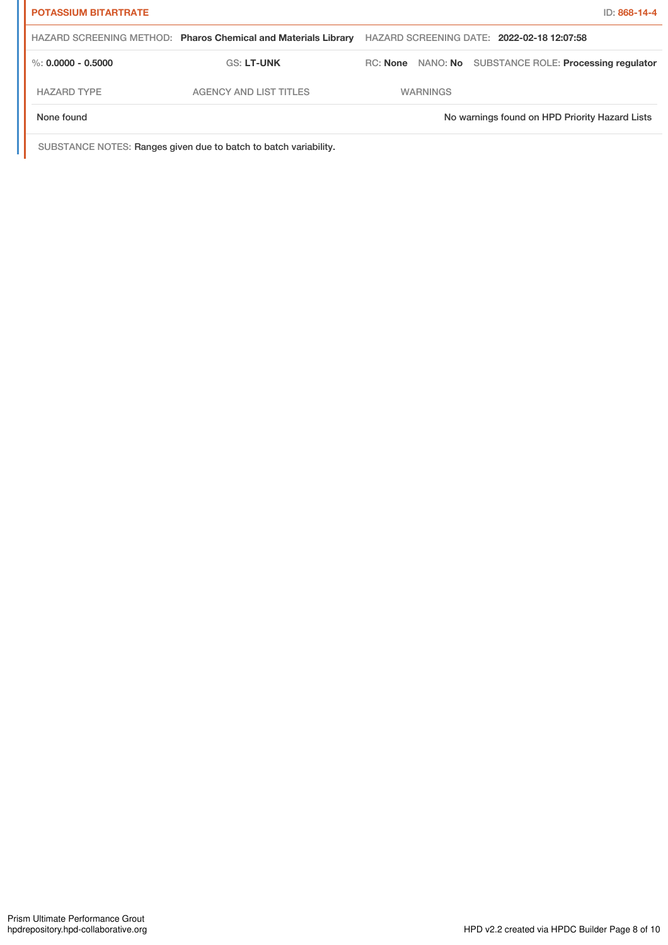| <b>POTASSIUM BITARTRATE</b> |                                                                |                 |                                                        | ID: 868-14-4 |
|-----------------------------|----------------------------------------------------------------|-----------------|--------------------------------------------------------|--------------|
|                             | HAZARD SCREENING METHOD: Pharos Chemical and Materials Library |                 | HAZARD SCREENING DATE: 2022-02-18 12:07:58             |              |
| $\%$ : 0.0000 - 0.5000      | <b>GS: LT-UNK</b>                                              |                 | RC: None NANO: No SUBSTANCE ROLE: Processing regulator |              |
| <b>HAZARD TYPE</b>          | <b>AGENCY AND LIST TITLES</b>                                  | <b>WARNINGS</b> |                                                        |              |
| None found                  |                                                                |                 | No warnings found on HPD Priority Hazard Lists         |              |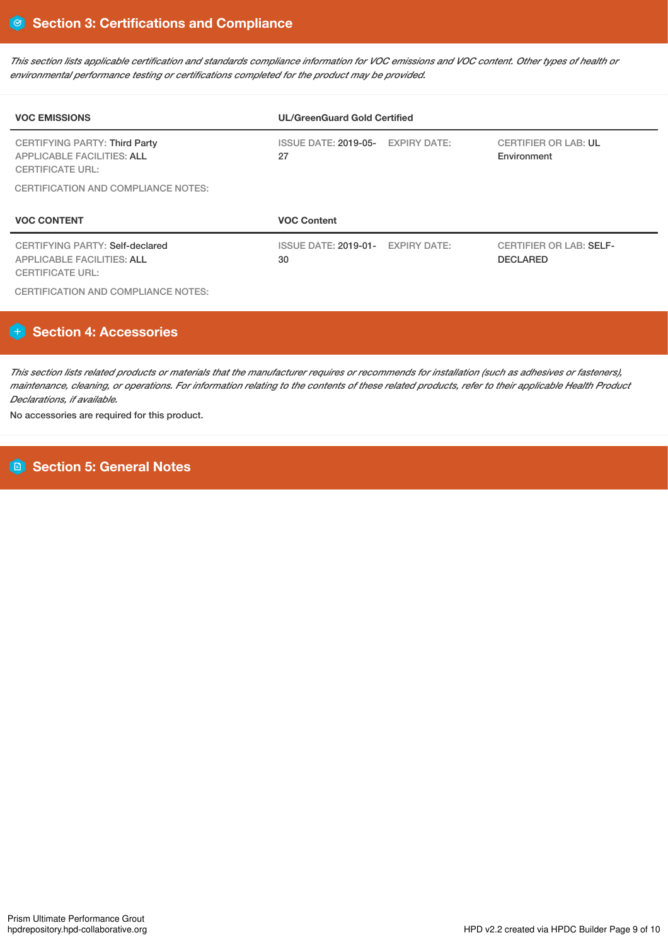This section lists applicable certification and standards compliance information for VOC emissions and VOC content. Other types of health or *environmental performance testing or certifications completed for the product may be provided.*

| <b>VOC EMISSIONS</b>                                                                                                                               | <b>UL/GreenGuard Gold Certified</b>     |                     |                                                   |
|----------------------------------------------------------------------------------------------------------------------------------------------------|-----------------------------------------|---------------------|---------------------------------------------------|
| <b>CERTIFYING PARTY: Third Party</b><br><b>APPLICABLE FACILITIES: ALL</b><br><b>CERTIFICATE URL:</b><br><b>CERTIFICATION AND COMPLIANCE NOTES:</b> | <b>ISSUE DATE: 2019-05-</b><br>27       | <b>EXPIRY DATE:</b> | <b>CERTIFIER OR LAB: UL</b><br>Environment        |
|                                                                                                                                                    |                                         |                     |                                                   |
| <b>VOC CONTENT</b>                                                                                                                                 | <b>VOC Content</b>                      |                     |                                                   |
| CERTIFYING PARTY: Self-declared<br><b>APPLICABLE FACILITIES: ALL</b><br><b>CERTIFICATE URL:</b>                                                    | ISSUE DATE: 2019-01- EXPIRY DATE:<br>30 |                     | <b>CERTIFIER OR LAB: SELF-</b><br><b>DECLARED</b> |

# **H** Section 4: Accessories

This section lists related products or materials that the manufacturer requires or recommends for installation (such as adhesives or fasteners), maintenance, cleaning, or operations. For information relating to the contents of these related products, refer to their applicable Health Product *Declarations, if available.*

No accessories are required for this product.

**Section 5: General Notes**